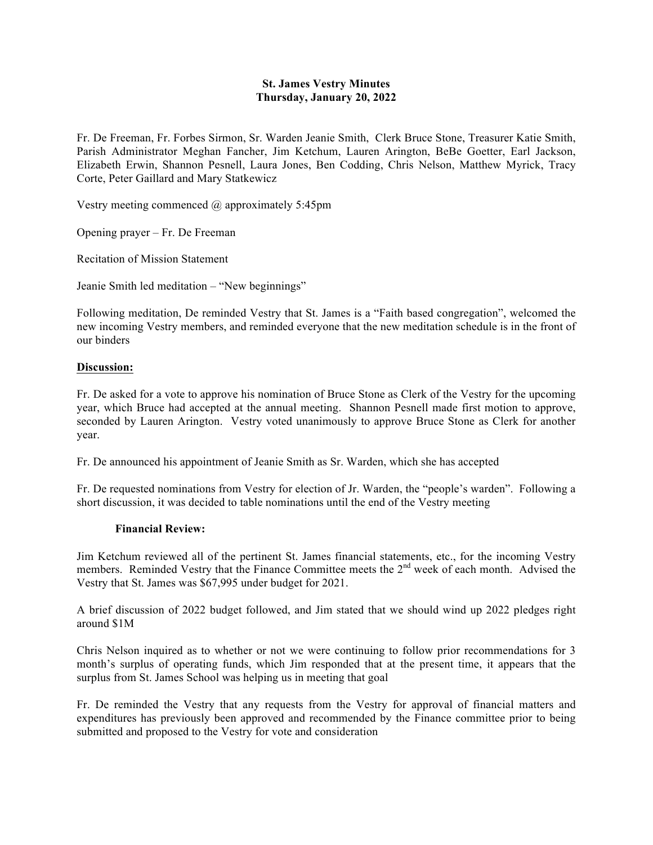## **St. James Vestry Minutes Thursday, January 20, 2022**

Fr. De Freeman, Fr. Forbes Sirmon, Sr. Warden Jeanie Smith, Clerk Bruce Stone, Treasurer Katie Smith, Parish Administrator Meghan Fancher, Jim Ketchum, Lauren Arington, BeBe Goetter, Earl Jackson, Elizabeth Erwin, Shannon Pesnell, Laura Jones, Ben Codding, Chris Nelson, Matthew Myrick, Tracy Corte, Peter Gaillard and Mary Statkewicz

Vestry meeting commenced @ approximately 5:45pm

Opening prayer – Fr. De Freeman

Recitation of Mission Statement

Jeanie Smith led meditation – "New beginnings"

Following meditation, De reminded Vestry that St. James is a "Faith based congregation", welcomed the new incoming Vestry members, and reminded everyone that the new meditation schedule is in the front of our binders

## **Discussion:**

Fr. De asked for a vote to approve his nomination of Bruce Stone as Clerk of the Vestry for the upcoming year, which Bruce had accepted at the annual meeting. Shannon Pesnell made first motion to approve, seconded by Lauren Arington. Vestry voted unanimously to approve Bruce Stone as Clerk for another year.

Fr. De announced his appointment of Jeanie Smith as Sr. Warden, which she has accepted

Fr. De requested nominations from Vestry for election of Jr. Warden, the "people's warden". Following a short discussion, it was decided to table nominations until the end of the Vestry meeting

## **Financial Review:**

Jim Ketchum reviewed all of the pertinent St. James financial statements, etc., for the incoming Vestry members. Reminded Vestry that the Finance Committee meets the 2<sup>nd</sup> week of each month. Advised the Vestry that St. James was \$67,995 under budget for 2021.

A brief discussion of 2022 budget followed, and Jim stated that we should wind up 2022 pledges right around \$1M

Chris Nelson inquired as to whether or not we were continuing to follow prior recommendations for 3 month's surplus of operating funds, which Jim responded that at the present time, it appears that the surplus from St. James School was helping us in meeting that goal

Fr. De reminded the Vestry that any requests from the Vestry for approval of financial matters and expenditures has previously been approved and recommended by the Finance committee prior to being submitted and proposed to the Vestry for vote and consideration